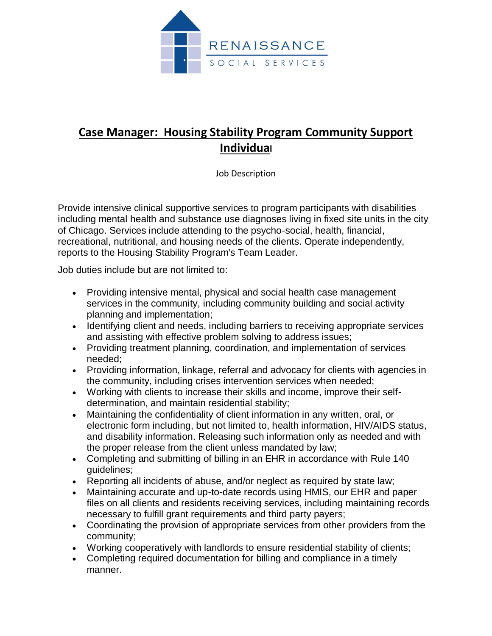

## **Case Manager: Housing Stability Program Community Support Individual**

Job Description

Provide intensive clinical supportive services to program participants with disabilities including mental health and substance use diagnoses living in fixed site units in the city of Chicago. Services include attending to the psycho-social, health, financial, recreational, nutritional, and housing needs of the clients. Operate independently, reports to the Housing Stability Program's Team Leader.

Job duties include but are not limited to:

- Providing intensive mental, physical and social health case management services in the community, including community building and social activity planning and implementation;
- Identifying client and needs, including barriers to receiving appropriate services and assisting with effective problem solving to address issues;
- Providing treatment planning, coordination, and implementation of services needed;
- Providing information, linkage, referral and advocacy for clients with agencies in the community, including crises intervention services when needed;
- Working with clients to increase their skills and income, improve their selfdetermination, and maintain residential stability;
- Maintaining the confidentiality of client information in any written, oral, or electronic form including, but not limited to, health information, HIV/AIDS status, and disability information. Releasing such information only as needed and with the proper release from the client unless mandated by law;
- Completing and submitting of billing in an EHR in accordance with Rule 140 guidelines;
- Reporting all incidents of abuse, and/or neglect as required by state law;
- Maintaining accurate and up-to-date records using HMIS, our EHR and paper files on all clients and residents receiving services, including maintaining records necessary to fulfill grant requirements and third party payers;
- Coordinating the provision of appropriate services from other providers from the community;
- Working cooperatively with landlords to ensure residential stability of clients;
- Completing required documentation for billing and compliance in a timely manner.